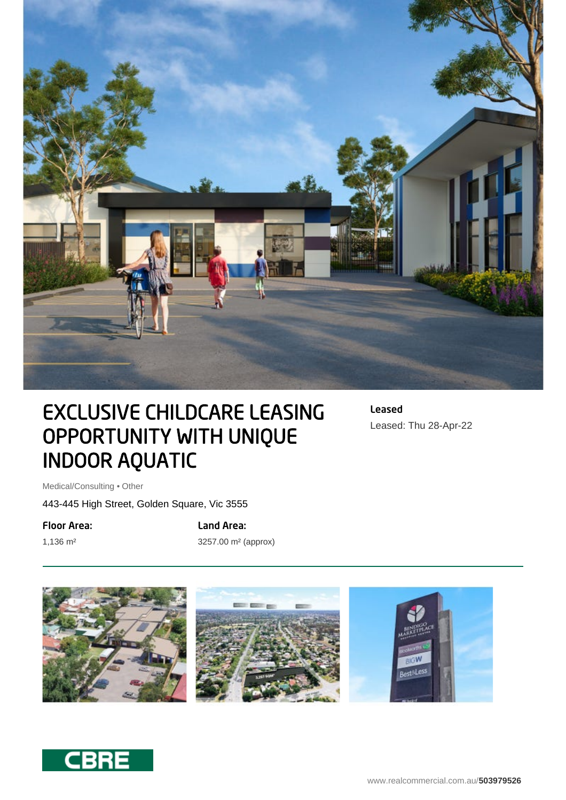

# EXCLUSIVE CHILDCARE LEASING OPPORTUNITY WITH UNIQUE INDOOR AQUATIC

Leased Leased: Thu 28-Apr-22

Medical/Consulting • Other

443-445 High Street, Golden Square, Vic 3555

Floor Area:

1,136 m²

Land Area: 3257.00 m² (approx)